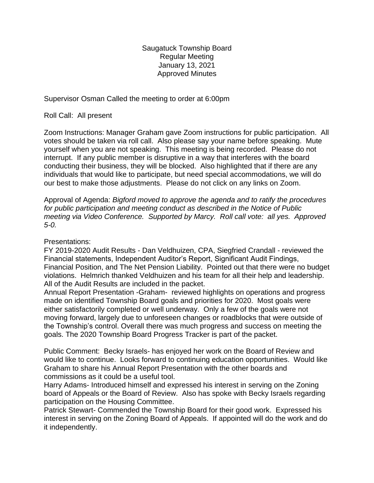Saugatuck Township Board Regular Meeting January 13, 2021 Approved Minutes

Supervisor Osman Called the meeting to order at 6:00pm

Roll Call: All present

Zoom Instructions: Manager Graham gave Zoom instructions for public participation. All votes should be taken via roll call. Also please say your name before speaking. Mute yourself when you are not speaking. This meeting is being recorded. Please do not interrupt. If any public member is disruptive in a way that interferes with the board conducting their business, they will be blocked. Also highlighted that if there are any individuals that would like to participate, but need special accommodations, we will do our best to make those adjustments. Please do not click on any links on Zoom.

Approval of Agenda: *Bigford moved to approve the agenda and to ratify the procedures for public participation and meeting conduct as described in the Notice of Public meeting via Video Conference. Supported by Marcy. Roll call vote: all yes. Approved 5-0.*

## Presentations:

FY 2019-2020 Audit Results - Dan Veldhuizen, CPA, Siegfried Crandall - reviewed the Financial statements, Independent Auditor's Report, Significant Audit Findings, Financial Position, and The Net Pension Liability. Pointed out that there were no budget violations. Helmrich thanked Veldhuizen and his team for all their help and leadership. All of the Audit Results are included in the packet.

Annual Report Presentation -Graham- reviewed highlights on operations and progress made on identified Township Board goals and priorities for 2020. Most goals were either satisfactorily completed or well underway. Only a few of the goals were not moving forward, largely due to unforeseen changes or roadblocks that were outside of the Township's control. Overall there was much progress and success on meeting the goals. The 2020 Township Board Progress Tracker is part of the packet.

Public Comment: Becky Israels- has enjoyed her work on the Board of Review and would like to continue. Looks forward to continuing education opportunities. Would like Graham to share his Annual Report Presentation with the other boards and commissions as it could be a useful tool.

Harry Adams- Introduced himself and expressed his interest in serving on the Zoning board of Appeals or the Board of Review. Also has spoke with Becky Israels regarding participation on the Housing Committee.

Patrick Stewart- Commended the Township Board for their good work. Expressed his interest in serving on the Zoning Board of Appeals. If appointed will do the work and do it independently.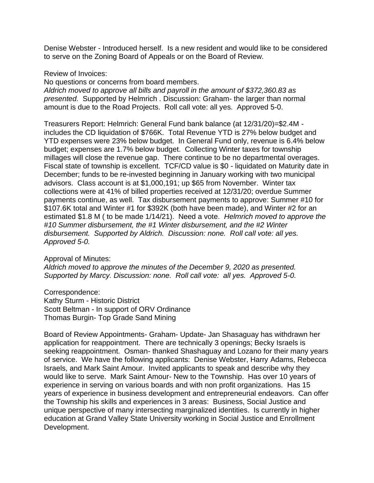Denise Webster - Introduced herself. Is a new resident and would like to be considered to serve on the Zoning Board of Appeals or on the Board of Review.

Review of Invoices:

No questions or concerns from board members.

*Aldrich moved to approve all bills and payroll in the amount of \$372,360.83 as presented.* Supported by Helmrich . Discussion: Graham- the larger than normal amount is due to the Road Projects. Roll call vote: all yes. Approved 5-0.

Treasurers Report: Helmrich: General Fund bank balance (at 12/31/20)=\$2.4M includes the CD liquidation of \$766K. Total Revenue YTD is 27% below budget and YTD expenses were 23% below budget. In General Fund only, revenue is 6.4% below budget; expenses are 1.7% below budget. Collecting Winter taxes for township millages will close the revenue gap. There continue to be no departmental overages. Fiscal state of township is excellent. TCF/CD value is \$0 - liquidated on Maturity date in December; funds to be re-invested beginning in January working with two municipal advisors. Class account is at \$1,000,191; up \$65 from November. Winter tax collections were at 41% of billed properties received at 12/31/20; overdue Summer payments continue, as well. Tax disbursement payments to approve: Summer #10 for \$107.6K total and Winter #1 for \$392K (both have been made), and Winter #2 for an estimated \$1.8 M ( to be made 1/14/21). Need a vote. *Helmrich moved to approve the #10 Summer disbursement, the #1 Winter disbursement, and the #2 Winter disbursement. Supported by Aldrich. Discussion: none. Roll call vote: all yes. Approved 5-0.*

Approval of Minutes:

*Aldrich moved to approve the minutes of the December 9, 2020 as presented. Supported by Marcy. Discussion: none. Roll call vote: all yes. Approved 5-0.*

Correspondence: Kathy Sturm - Historic District Scott Beltman - In support of ORV Ordinance Thomas Burgin- Top Grade Sand Mining

Board of Review Appointments- Graham- Update- Jan Shasaguay has withdrawn her application for reappointment. There are technically 3 openings; Becky Israels is seeking reappointment. Osman- thanked Shashaguay and Lozano for their many years of service. We have the following applicants: Denise Webster, Harry Adams, Rebecca Israels, and Mark Saint Amour. Invited applicants to speak and describe why they would like to serve. Mark Saint Amour- New to the Township. Has over 10 years of experience in serving on various boards and with non profit organizations. Has 15 years of experience in business development and entrepreneurial endeavors. Can offer the Township his skills and experiences in 3 areas: Business, Social Justice and unique perspective of many intersecting marginalized identities. Is currently in higher education at Grand Valley State University working in Social Justice and Enrollment Development.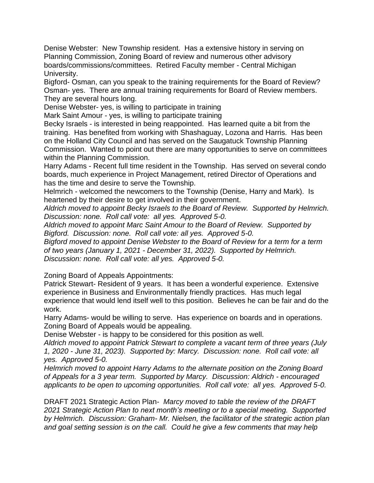Denise Webster: New Township resident. Has a extensive history in serving on Planning Commission, Zoning Board of review and numerous other advisory boards/commissions/committees. Retired Faculty member - Central Michigan University.

Bigford- Osman, can you speak to the training requirements for the Board of Review? Osman- yes. There are annual training requirements for Board of Review members. They are several hours long.

Denise Webster- yes, is willing to participate in training

Mark Saint Amour - yes, is willing to participate training

Becky Israels - is interested in being reappointed. Has learned quite a bit from the training. Has benefited from working with Shashaguay, Lozona and Harris. Has been on the Holland City Council and has served on the Saugatuck Township Planning Commission. Wanted to point out there are many opportunities to serve on committees within the Planning Commission.

Harry Adams - Recent full time resident in the Township. Has served on several condo boards, much experience in Project Management, retired Director of Operations and has the time and desire to serve the Township.

Helmrich - welcomed the newcomers to the Township (Denise, Harry and Mark). Is heartened by their desire to get involved in their government.

*Aldrich moved to appoint Becky Israels to the Board of Review. Supported by Helmrich. Discussion: none. Roll call vote: all yes. Approved 5-0.*

*Aldrich moved to appoint Marc Saint Amour to the Board of Review. Supported by Bigford. Discussion: none. Roll call vote: all yes. Approved 5-0.*

*Bigford moved to appoint Denise Webster to the Board of Review for a term for a term of two years (January 1, 2021 - December 31, 2022). Supported by Helmrich. Discussion: none. Roll call vote: all yes. Approved 5-0.*

Zoning Board of Appeals Appointments:

Patrick Stewart- Resident of 9 years. It has been a wonderful experience. Extensive experience in Business and Environmentally friendly practices. Has much legal experience that would lend itself well to this position. Believes he can be fair and do the work.

Harry Adams- would be willing to serve. Has experience on boards and in operations. Zoning Board of Appeals would be appealing.

Denise Webster - is happy to be considered for this position as well.

*Aldrich moved to appoint Patrick Stewart to complete a vacant term of three years (July 1, 2020 - June 31, 2023). Supported by: Marcy. Discussion: none. Roll call vote: all yes. Approved 5-0.* 

*Helmrich moved to appoint Harry Adams to the alternate position on the Zoning Board of Appeals for a 3 year term. Supported by Marcy. Discussion: Aldrich - encouraged applicants to be open to upcoming opportunities. Roll call vote: all yes. Approved 5-0.*

DRAFT 2021 Strategic Action Plan- *Marcy moved to table the review of the DRAFT 2021 Strategic Action Plan to next month's meeting or to a special meeting. Supported by Helmrich. Discussion: Graham- Mr. Nielsen, the facilitator of the strategic action plan and goal setting session is on the call. Could he give a few comments that may help*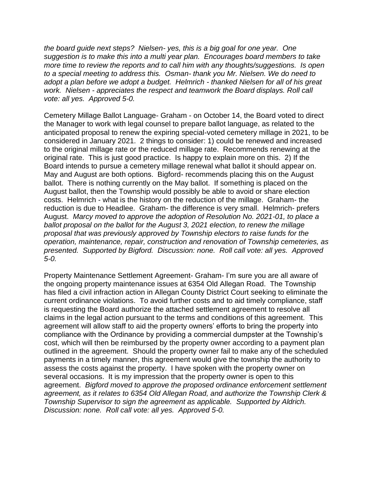*the board guide next steps? Nielsen- yes, this is a big goal for one year. One suggestion is to make this into a multi year plan. Encourages board members to take more time to review the reports and to call him with any thoughts/suggestions. Is open to a special meeting to address this. Osman- thank you Mr. Nielsen. We do need to adopt a plan before we adopt a budget. Helmrich - thanked Nielsen for all of his great work. Nielsen - appreciates the respect and teamwork the Board displays. Roll call vote: all yes. Approved 5-0.*

Cemetery Millage Ballot Language- Graham - on October 14, the Board voted to direct the Manager to work with legal counsel to prepare ballot language, as related to the anticipated proposal to renew the expiring special-voted cemetery millage in 2021, to be considered in January 2021. 2 things to consider: 1) could be renewed and increased to the original millage rate or the reduced millage rate. Recommends renewing at the original rate. This is just good practice. Is happy to explain more on this. 2) If the Board intends to pursue a cemetery millage renewal what ballot it should appear on. May and August are both options. Bigford- recommends placing this on the August ballot. There is nothing currently on the May ballot. If something is placed on the August ballot, then the Township would possibly be able to avoid or share election costs. Helmrich - what is the history on the reduction of the millage. Graham- the reduction is due to Headlee. Graham- the difference is very small. Helmrich- prefers August. *Marcy moved to approve the adoption of Resolution No. 2021-01, to place a ballot proposal on the ballot for the August 3, 2021 election, to renew the millage proposal that was previously approved by Township electors to raise funds for the operation, maintenance, repair, construction and renovation of Township cemeteries, as presented. Supported by Bigford. Discussion: none. Roll call vote: all yes. Approved 5-0.* 

Property Maintenance Settlement Agreement- Graham- I'm sure you are all aware of the ongoing property maintenance issues at 6354 Old Allegan Road. The Township has filed a civil infraction action in Allegan County District Court seeking to eliminate the current ordinance violations. To avoid further costs and to aid timely compliance, staff is requesting the Board authorize the attached settlement agreement to resolve all claims in the legal action pursuant to the terms and conditions of this agreement. This agreement will allow staff to aid the property owners' efforts to bring the property into compliance with the Ordinance by providing a commercial dumpster at the Township's cost, which will then be reimbursed by the property owner according to a payment plan outlined in the agreement. Should the property owner fail to make any of the scheduled payments in a timely manner, this agreement would give the township the authority to assess the costs against the property. I have spoken with the property owner on several occasions. It is my impression that the property owner is open to this agreement. *Bigford moved to approve the proposed ordinance enforcement settlement agreement, as it relates to 6354 Old Allegan Road, and authorize the Township Clerk & Township Supervisor to sign the agreement as applicable. Supported by Aldrich. Discussion: none. Roll call vote: all yes. Approved 5-0.*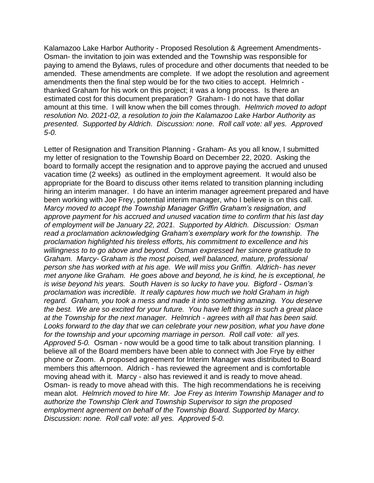Kalamazoo Lake Harbor Authority - Proposed Resolution & Agreement Amendments-Osman- the invitation to join was extended and the Township was responsible for paying to amend the Bylaws, rules of procedure and other documents that needed to be amended. These amendments are complete. If we adopt the resolution and agreement amendments then the final step would be for the two cities to accept. Helmrich thanked Graham for his work on this project; it was a long process. Is there an estimated cost for this document preparation? Graham- I do not have that dollar amount at this time. I will know when the bill comes through. *Helmrich moved to adopt resolution No. 2021-02, a resolution to join the Kalamazoo Lake Harbor Authority as presented. Supported by Aldrich. Discussion: none. Roll call vote: all yes. Approved 5-0.* 

Letter of Resignation and Transition Planning - Graham- As you all know, I submitted my letter of resignation to the Township Board on December 22, 2020. Asking the board to formally accept the resignation and to approve paying the accrued and unused vacation time (2 weeks) as outlined in the employment agreement. It would also be appropriate for the Board to discuss other items related to transition planning including hiring an interim manager. I do have an interim manager agreement prepared and have been working with Joe Frey, potential interim manager, who I believe is on this call. *Marcy moved to accept the Township Manager Griffin Graham's resignation, and approve payment for his accrued and unused vacation time to confirm that his last day of employment will be January 22, 2021. Supported by Aldrich. Discussion: Osman read a proclamation acknowledging Graham's exemplary work for the township. The proclamation highlighted his tireless efforts, his commitment to excellence and his willingness to to go above and beyond. Osman expressed her sincere gratitude to Graham. Marcy- Graham is the most poised, well balanced, mature, professional person she has worked with at his age. We will miss you Griffin. Aldrich- has never met anyone like Graham. He goes above and beyond, he is kind, he is exceptional, he is wise beyond his years. South Haven is so lucky to have you. Bigford - Osman's proclamation was incredible. It really captures how much we hold Graham in high regard. Graham, you took a mess and made it into something amazing. You deserve the best. We are so excited for your future. You have left things in such a great place at the Township for the next manager. Helmrich - agrees with all that has been said. Looks forward to the day that we can celebrate your new position, what you have done for the township and your upcoming marriage in person. Roll call vote: all yes. Approved 5-0.* Osman - now would be a good time to talk about transition planning. I believe all of the Board members have been able to connect with Joe Frye by either phone or Zoom. A proposed agreement for Interim Manager was distributed to Board members this afternoon. Aldrich - has reviewed the agreement and is comfortable moving ahead with it. Marcy - also has reviewed it and is ready to move ahead. Osman- is ready to move ahead with this. The high recommendations he is receiving mean alot. *Helmrich moved to hire Mr. Joe Frey as Interim Township Manager and to authorize the Township Clerk and Township Supervisor to sign the proposed employment agreement on behalf of the Township Board. Supported by Marcy. Discussion: none. Roll call vote: all yes. Approved 5-0.*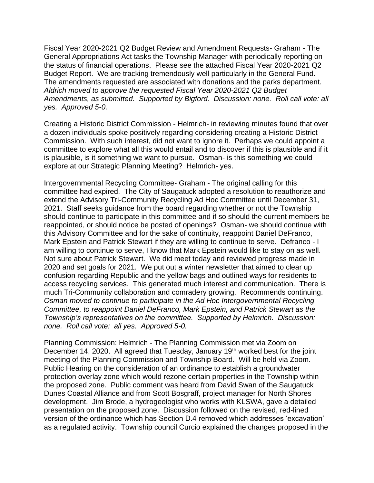Fiscal Year 2020-2021 Q2 Budget Review and Amendment Requests- Graham - The General Appropriations Act tasks the Township Manager with periodically reporting on the status of financial operations. Please see the attached Fiscal Year 2020-2021 Q2 Budget Report. We are tracking tremendously well particularly in the General Fund. The amendments requested are associated with donations and the parks department. *Aldrich moved to approve the requested Fiscal Year 2020-2021 Q2 Budget Amendments, as submitted. Supported by Bigford. Discussion: none. Roll call vote: all yes. Approved 5-0.* 

Creating a Historic District Commission - Helmrich- in reviewing minutes found that over a dozen individuals spoke positively regarding considering creating a Historic District Commission. With such interest, did not want to ignore it. Perhaps we could appoint a committee to explore what all this would entail and to discover if this is plausible and if it is plausible, is it something we want to pursue. Osman- is this something we could explore at our Strategic Planning Meeting? Helmrich- yes.

Intergovernmental Recycling Committee- Graham - The original calling for this committee had expired. The City of Saugatuck adopted a resolution to reauthorize and extend the Advisory Tri-Community Recycling Ad Hoc Committee until December 31, 2021. Staff seeks guidance from the board regarding whether or not the Township should continue to participate in this committee and if so should the current members be reappointed, or should notice be posted of openings? Osman- we should continue with this Advisory Committee and for the sake of continuity, reappoint Daniel DeFranco, Mark Epstein and Patrick Stewart if they are willing to continue to serve. Defranco - I am willing to continue to serve, I know that Mark Epstein would like to stay on as well. Not sure about Patrick Stewart. We did meet today and reviewed progress made in 2020 and set goals for 2021. We put out a winter newsletter that aimed to clear up confusion regarding Republic and the yellow bags and outlined ways for residents to access recycling services. This generated much interest and communication. There is much Tri-Community collaboration and comradery growing. Recommends continuing. *Osman moved to continue to participate in the Ad Hoc Intergovernmental Recycling Committee, to reappoint Daniel DeFranco, Mark Epstein, and Patrick Stewart as the Township's representatives on the committee. Supported by Helmrich. Discussion: none. Roll call vote: all yes. Approved 5-0.*

Planning Commission: Helmrich - The Planning Commission met via Zoom on December 14, 2020. All agreed that Tuesday, January 19<sup>th</sup> worked best for the joint meeting of the Planning Commission and Township Board. Will be held via Zoom. Public Hearing on the consideration of an ordinance to establish a groundwater protection overlay zone which would rezone certain properties in the Township within the proposed zone. Public comment was heard from David Swan of the Saugatuck Dunes Coastal Alliance and from Scott Bosgraff, project manager for North Shores development. Jim Brode, a hydrogeologist who works with KLSWA, gave a detailed presentation on the proposed zone. Discussion followed on the revised, red-lined version of the ordinance which has Section D.4 removed which addresses 'excavation' as a regulated activity. Township council Curcio explained the changes proposed in the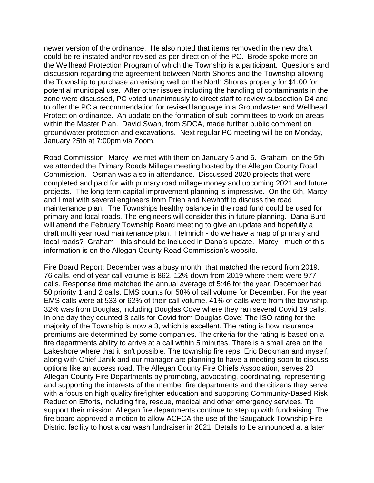newer version of the ordinance. He also noted that items removed in the new draft could be re-instated and/or revised as per direction of the PC. Brode spoke more on the Wellhead Protection Program of which the Township is a participant. Questions and discussion regarding the agreement between North Shores and the Township allowing the Township to purchase an existing well on the North Shores property for \$1.00 for potential municipal use. After other issues including the handling of contaminants in the zone were discussed, PC voted unanimously to direct staff to review subsection D4 and to offer the PC a recommendation for revised language in a Groundwater and Wellhead Protection ordinance. An update on the formation of sub-committees to work on areas within the Master Plan. David Swan, from SDCA, made further public comment on groundwater protection and excavations. Next regular PC meeting will be on Monday, January 25th at 7:00pm via Zoom.

Road Commission- Marcy- we met with them on January 5 and 6. Graham- on the 5th we attended the Primary Roads Millage meeting hosted by the Allegan County Road Commission. Osman was also in attendance. Discussed 2020 projects that were completed and paid for with primary road millage money and upcoming 2021 and future projects. The long term capital improvement planning is impressive. On the 6th, Marcy and I met with several engineers from Prien and Newhoff to discuss the road maintenance plan. The Townships healthy balance in the road fund could be used for primary and local roads. The engineers will consider this in future planning. Dana Burd will attend the February Township Board meeting to give an update and hopefully a draft multi year road maintenance plan. Helmrich - do we have a map of primary and local roads? Graham - this should be included in Dana's update. Marcy - much of this information is on the Allegan County Road Commission's website.

Fire Board Report: December was a busy month, that matched the record from 2019. 76 calls, end of year call volume is 862. 12% down from 2019 where there were 977 calls. Response time matched the annual average of 5:46 for the year. December had 50 priority 1 and 2 calls. EMS counts for 58% of call volume for December. For the year EMS calls were at 533 or 62% of their call volume. 41% of calls were from the township, 32% was from Douglas, including Douglas Cove where they ran several Covid 19 calls. In one day they counted 3 calls for Covid from Douglas Cove! The ISO rating for the majority of the Township is now a 3, which is excellent. The rating is how insurance premiums are determined by some companies. The criteria for the rating is based on a fire departments ability to arrive at a call within 5 minutes. There is a small area on the Lakeshore where that it isn't possible. The township fire reps, Eric Beckman and myself, along with Chief Janik and our manager are planning to have a meeting soon to discuss options like an access road. The Allegan County Fire Chiefs Association, serves 20 Allegan County Fire Departments by promoting, advocating, coordinating, representing and supporting the interests of the member fire departments and the citizens they serve with a focus on high quality firefighter education and supporting Community-Based Risk Reduction Efforts, including fire, rescue, medical and other emergency services. To support their mission, Allegan fire departments continue to step up with fundraising. The fire board approved a motion to allow ACFCA the use of the Saugatuck Township Fire District facility to host a car wash fundraiser in 2021. Details to be announced at a later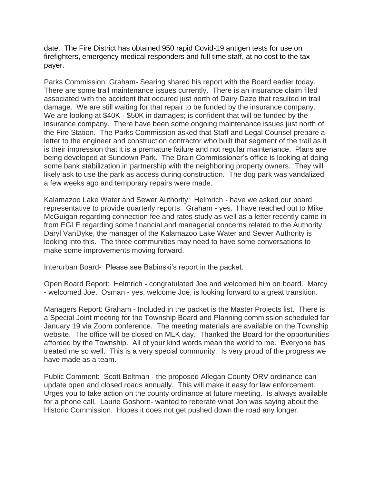date. The Fire District has obtained 950 rapid Covid-19 antigen tests for use on firefighters, emergency medical responders and full time staff, at no cost to the tax payer.

Parks Commission: Graham- Searing shared his report with the Board earlier today. There are some trail maintenance issues currently. There is an insurance claim filed associated with the accident that occured just north of Dairy Daze that resulted in trail damage. We are still waiting for that repair to be funded by the insurance company. We are looking at \$40K - \$50K in damages; is confident that will be funded by the insurance company. There have been some ongoing maintenance issues just north of the Fire Station. The Parks Commission asked that Staff and Legal Counsel prepare a letter to the engineer and construction contractor who built that segment of the trail as it is their impression that it is a premature failure and not regular maintenance. Plans are being developed at Sundown Park. The Drain Commissioner's office is looking at doing some bank stabilization in partnership with the neighboring property owners. They will likely ask to use the park as access during construction. The dog park was vandalized a few weeks ago and temporary repairs were made.

Kalamazoo Lake Water and Sewer Authority: Helmrich - have we asked our board representative to provide quarterly reports. Graham - yes. I have reached out to Mike McGuigan regarding connection fee and rates study as well as a letter recently came in from EGLE regarding some financial and managerial concerns related to the Authority. Daryl VanDyke, the manager of the Kalamazoo Lake Water and Sewer Authority is looking into this. The three communities may need to have some conversations to make some improvements moving forward.

Interurban Board- Please see Babinski's report in the packet.

Open Board Report: Helmrich - congratulated Joe and welcomed him on board. Marcy - welcomed Joe. Osman - yes, welcome Joe, is looking forward to a great transition.

Managers Report: Graham - Included in the packet is the Master Projects list. There is a Special Joint meeting for the Township Board and Planning commission scheduled for January 19 via Zoom conference. The meeting materials are available on the Township website. The office will be closed on MLK day. Thanked the Board for the opportunities afforded by the Township. All of your kind words mean the world to me. Everyone has treated me so well. This is a very special community. Is very proud of the progress we have made as a team.

Public Comment: Scott Beltman - the proposed Allegan County ORV ordinance can update open and closed roads annually. This will make it easy for law enforcement. Urges you to take action on the county ordinance at future meeting. Is always available for a phone call. Laurie Goshorn- wanted to reiterate what Jon was saying about the Historic Commission. Hopes it does not get pushed down the road any longer.